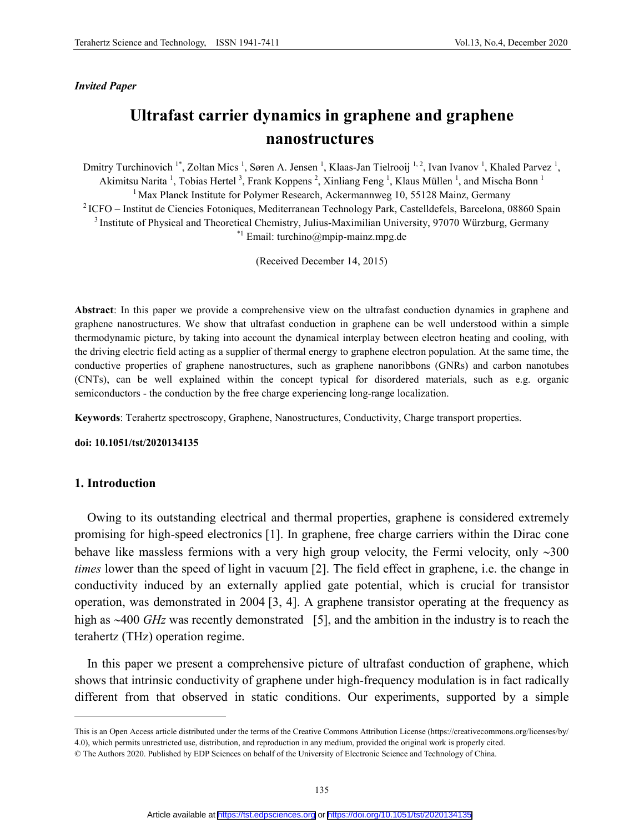### *Invited Paper*

# **Ultrafast carrier dynamics in graphene and graphene nanostructures**

Dmitry Turchinovich <sup>1\*</sup>, Zoltan Mics<sup>1</sup>, Søren A. Jensen<sup>1</sup>, Klaas-Jan Tielrooij <sup>1,2</sup>, Ivan Ivanov<sup>1</sup>, Khaled Parvez<sup>1</sup>, Akimitsu Narita<sup>1</sup>, Tobias Hertel<sup>3</sup>, Frank Koppens<sup>2</sup>, Xinliang Feng<sup>1</sup>, Klaus Müllen<sup>1</sup>, and Mischa Bonn<sup>1</sup> <sup>1</sup> Max Planck Institute for Polymer Research, Ackermannweg 10, 55128 Mainz, Germany 2 ICFO – Institut de Ciencies Fotoniques, Mediterranean Technology Park, Castelldefels, Barcelona, 08860 Spain <sup>3</sup> Institute of Physical and Theoretical Chemistry, Julius-Maximilian University, 97070 Würzburg, Germany \*1 Email: turchino@mpip-mainz.mpg.de

(Received December 14, 2015)

**Abstract**: In this paper we provide a comprehensive view on the ultrafast conduction dynamics in graphene and graphene nanostructures. We show that ultrafast conduction in graphene can be well understood within a simple thermodynamic picture, by taking into account the dynamical interplay between electron heating and cooling, with the driving electric field acting as a supplier of thermal energy to graphene electron population. At the same time, the conductive properties of graphene nanostructures, such as graphene nanoribbons (GNRs) and carbon nanotubes (CNTs), can be well explained within the concept typical for disordered materials, such as e.g. organic semiconductors - the conduction by the free charge experiencing long-range localization.

**Keywords**: Terahertz spectroscopy, Graphene, Nanostructures, Conductivity, Charge transport properties.

**doi: 10.1051/tst/2020134135**

# **1. Introduction**

 $\ddot{ }$ 

Owing to its outstanding electrical and thermal properties, graphene is considered extremely promising for high-speed electronics [1]. In graphene, free charge carriers within the Dirac cone behave like massless fermions with a very high group velocity, the Fermi velocity, only ∼300 *times* lower than the speed of light in vacuum [2]. The field effect in graphene, i.e. the change in conductivity induced by an externally applied gate potential, which is crucial for transistor operation, was demonstrated in 2004 [3, 4]. A graphene transistor operating at the frequency as high as ∼400 *GHz* was recently demonstrated [5], and the ambition in the industry is to reach the terahertz (THz) operation regime.

In this paper we present a comprehensive picture of ultrafast conduction of graphene, which shows that intrinsic conductivity of graphene under high-frequency modulation is in fact radically different from that observed in static conditions. Our experiments, supported by a simple

<span id="page-0-0"></span>This is an Open Access article distributed under the terms of the Creative Commons Attribution License [\(https://creativecommons.org/licenses/by/](https://creativecommons.org/licenses/by/) 4.0), which permits unrestricted use, distribution, and reproduction in any medium, provided the original work is properly cited.

<sup>©</sup> The Authors 2020. Published by EDP Sciences on behalf of the University of Electronic Science and Technology of China.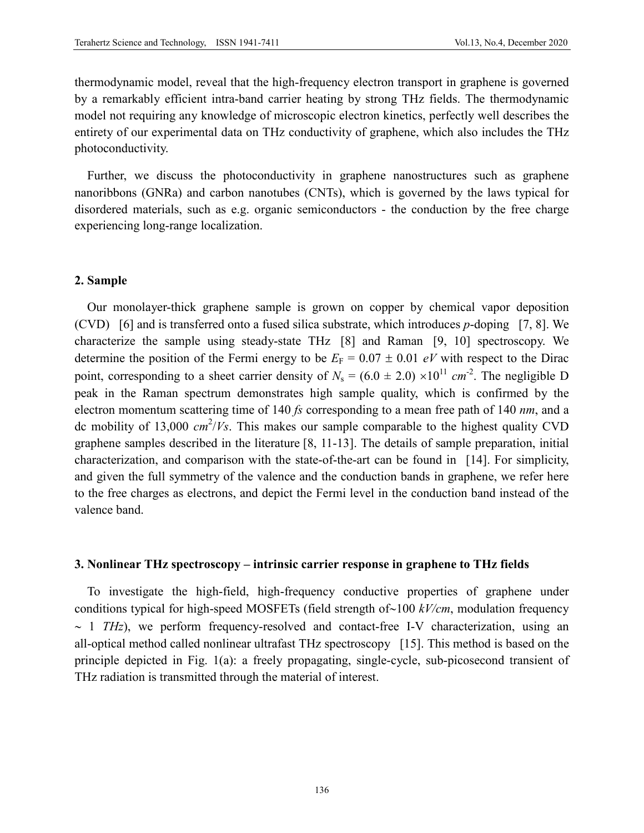thermodynamic model, reveal that the high-frequency electron transport in graphene is governed by a remarkably efficient intra-band carrier heating by strong THz fields. The thermodynamic model not requiring any knowledge of microscopic electron kinetics, perfectly well describes the entirety of our experimental data on THz conductivity of graphene, which also includes the THz photoconductivity.

Further, we discuss the photoconductivity in graphene nanostructures such as graphene nanoribbons (GNRa) and carbon nanotubes (CNTs), which is governed by the laws typical for disordered materials, such as e.g. organic semiconductors - the conduction by the free charge experiencing long-range localization.

# **2. Sample**

Our monolayer-thick graphene sample is grown on copper by chemical vapor deposition (CVD) [6] and is transferred onto a fused silica substrate, which introduces *p*-doping [7, 8]. We characterize the sample using steady-state THz [8] and Raman [9, 10] spectroscopy. We determine the position of the Fermi energy to be  $E_F = 0.07 \pm 0.01$  eV with respect to the Dirac point, corresponding to a sheet carrier density of  $N_s = (6.0 \pm 2.0) \times 10^{11}$  cm<sup>-2</sup>. The negligible D peak in the Raman spectrum demonstrates high sample quality, which is confirmed by the electron momentum scattering time of 140 *fs* corresponding to a mean free path of 140 *nm*, and a dc mobility of 13,000 *cm* 2 /*Vs*. This makes our sample comparable to the highest quality CVD graphene samples described in the literature [8, 11-13]. The details of sample preparation, initial characterization, and comparison with the state-of-the-art can be found in [14]. For simplicity, and given the full symmetry of the valence and the conduction bands in graphene, we refer here to the free charges as electrons, and depict the Fermi level in the conduction band instead of the valence band.

# **3. Nonlinear THz spectroscopy – intrinsic carrier response in graphene to THz fields**

To investigate the high-field, high-frequency conductive properties of graphene under conditions typical for high-speed MOSFETs (field strength of∼100 *kV/cm*, modulation frequency ∼ 1 *THz*), we perform frequency-resolved and contact-free I-V characterization, using an all-optical method called nonlinear ultrafast THz spectroscopy [15]. This method is based on the principle depicted in Fig. 1(a): a freely propagating, single-cycle, sub-picosecond transient of THz radiation is transmitted through the material of interest.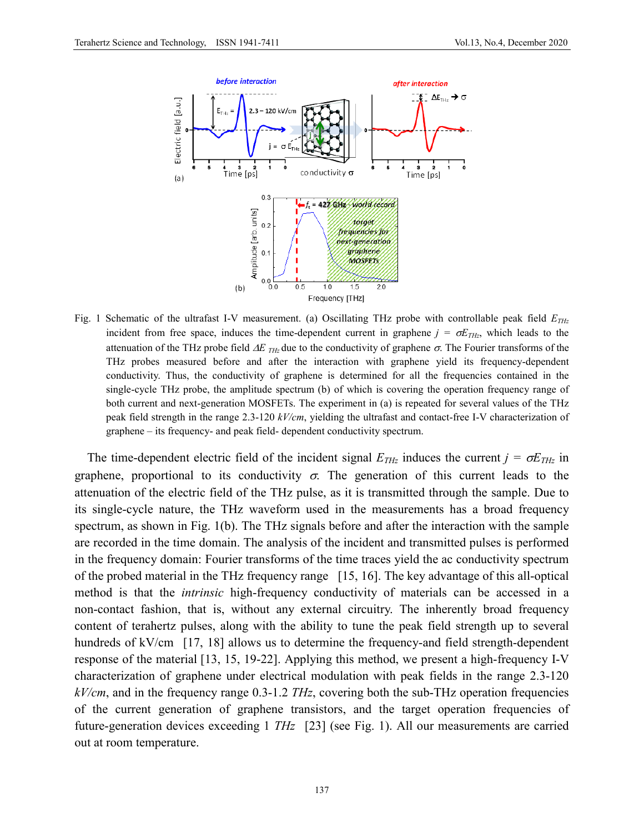

Fig. 1 Schematic of the ultrafast I-V measurement. (a) Oscillating THz probe with controllable peak field  $E_{THz}$ incident from free space, induces the time-dependent current in graphene  $j = \sigma E_{THz}$ , which leads to the attenuation of the THz probe field  $\Delta E$  T<sub>Hz</sub> due to the conductivity of graphene  $\sigma$ . The Fourier transforms of the THz probes measured before and after the interaction with graphene yield its frequency-dependent conductivity. Thus, the conductivity of graphene is determined for all the frequencies contained in the single-cycle THz probe, the amplitude spectrum (b) of which is covering the operation frequency range of both current and next-generation MOSFETs. The experiment in (a) is repeated for several values of the THz peak field strength in the range 2.3-120 *kV/cm*, yielding the ultrafast and contact-free I-V characterization of graphene – its frequency- and peak field- dependent conductivity spectrum.

The time-dependent electric field of the incident signal  $E_{THz}$  induces the current  $j = \sigma E_{THz}$  in graphene, proportional to its conductivity  $\sigma$ . The generation of this current leads to the attenuation of the electric field of the THz pulse, as it is transmitted through the sample. Due to its single-cycle nature, the THz waveform used in the measurements has a broad frequency spectrum, as shown in Fig. 1(b). The THz signals before and after the interaction with the sample are recorded in the time domain. The analysis of the incident and transmitted pulses is performed in the frequency domain: Fourier transforms of the time traces yield the ac conductivity spectrum of the probed material in the THz frequency range [15, 16]. The key advantage of this all-optical method is that the *intrinsic* high-frequency conductivity of materials can be accessed in a non-contact fashion, that is, without any external circuitry. The inherently broad frequency content of terahertz pulses, along with the ability to tune the peak field strength up to several hundreds of kV/cm [17, 18] allows us to determine the frequency-and field strength-dependent response of the material [13, 15, 19-22]. Applying this method, we present a high-frequency I-V characterization of graphene under electrical modulation with peak fields in the range 2.3-120 *kV/cm*, and in the frequency range 0.3-1.2 *THz*, covering both the sub-THz operation frequencies of the current generation of graphene transistors, and the target operation frequencies of future-generation devices exceeding 1 *THz* [23] (see Fig. 1). All our measurements are carried out at room temperature.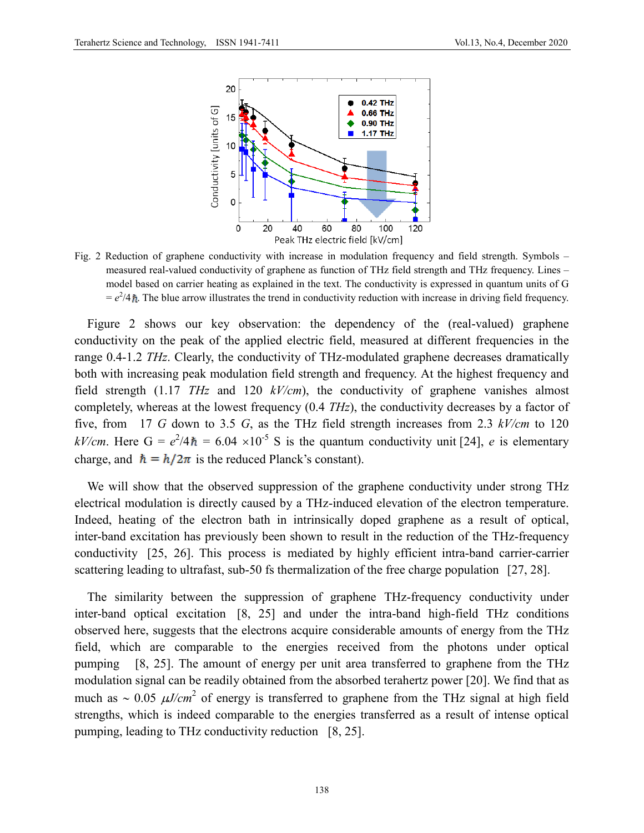

Fig. 2 Reduction of graphene conductivity with increase in modulation frequency and field strength. Symbols – measured real-valued conductivity of graphene as function of THz field strength and THz frequency. Lines – model based on carrier heating as explained in the text. The conductivity is expressed in quantum units of G  $= e^2/4 \hbar$ . The blue arrow illustrates the trend in conductivity reduction with increase in driving field frequency.

Figure 2 shows our key observation: the dependency of the (real-valued) graphene conductivity on the peak of the applied electric field, measured at different frequencies in the range 0.4-1.2 *THz*. Clearly, the conductivity of THz-modulated graphene decreases dramatically both with increasing peak modulation field strength and frequency. At the highest frequency and field strength (1.17 *THz* and 120 *kV/cm*), the conductivity of graphene vanishes almost completely, whereas at the lowest frequency (0.4 *THz*), the conductivity decreases by a factor of five, from 17 *G* down to 3.5 *G*, as the THz field strength increases from 2.3 *kV/cm* to 120  $kV/cm$ . Here G =  $e^2/4\hbar = 6.04 \times 10^{-5}$  S is the quantum conductivity unit [24], *e* is elementary charge, and  $\hbar = h/2\pi$  is the reduced Planck's constant).

We will show that the observed suppression of the graphene conductivity under strong THz electrical modulation is directly caused by a THz-induced elevation of the electron temperature. Indeed, heating of the electron bath in intrinsically doped graphene as a result of optical, inter-band excitation has previously been shown to result in the reduction of the THz-frequency conductivity [25, 26]. This process is mediated by highly efficient intra-band carrier-carrier scattering leading to ultrafast, sub-50 fs thermalization of the free charge population [27, 28].

The similarity between the suppression of graphene THz-frequency conductivity under inter-band optical excitation [8, 25] and under the intra-band high-field THz conditions observed here, suggests that the electrons acquire considerable amounts of energy from the THz field, which are comparable to the energies received from the photons under optical pumping [8, 25]. The amount of energy per unit area transferred to graphene from the THz modulation signal can be readily obtained from the absorbed terahertz power [20]. We find that as much as ∼ 0.05 µ*J/cm*<sup>2</sup> of energy is transferred to graphene from the THz signal at high field strengths, which is indeed comparable to the energies transferred as a result of intense optical pumping, leading to THz conductivity reduction [8, 25].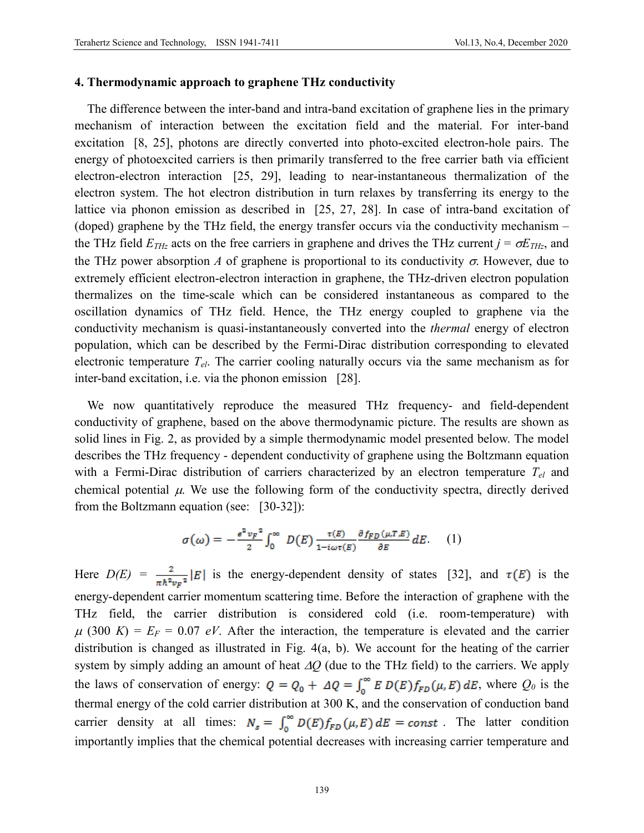# **4. Thermodynamic approach to graphene THz conductivity**

The difference between the inter-band and intra-band excitation of graphene lies in the primary mechanism of interaction between the excitation field and the material. For inter-band excitation [8, 25], photons are directly converted into photo-excited electron-hole pairs. The energy of photoexcited carriers is then primarily transferred to the free carrier bath via efficient electron-electron interaction [25, 29], leading to near-instantaneous thermalization of the electron system. The hot electron distribution in turn relaxes by transferring its energy to the lattice via phonon emission as described in [25, 27, 28]. In case of intra-band excitation of (doped) graphene by the THz field, the energy transfer occurs via the conductivity mechanism – the THz field  $E_{THz}$  acts on the free carriers in graphene and drives the THz current  $j = \sigma E_{THz}$ , and the THz power absorption *A* of graphene is proportional to its conductivity  $\sigma$ . However, due to extremely efficient electron-electron interaction in graphene, the THz-driven electron population thermalizes on the time-scale which can be considered instantaneous as compared to the oscillation dynamics of THz field. Hence, the THz energy coupled to graphene via the conductivity mechanism is quasi-instantaneously converted into the *thermal* energy of electron population, which can be described by the Fermi-Dirac distribution corresponding to elevated electronic temperature *Tel*. The carrier cooling naturally occurs via the same mechanism as for inter-band excitation, i.e. via the phonon emission [28].

We now quantitatively reproduce the measured THz frequency- and field-dependent conductivity of graphene, based on the above thermodynamic picture. The results are shown as solid lines in Fig. 2, as provided by a simple thermodynamic model presented below. The model describes the THz frequency - dependent conductivity of graphene using the Boltzmann equation with a Fermi-Dirac distribution of carriers characterized by an electron temperature *Tel* and chemical potential  $\mu$ . We use the following form of the conductivity spectra, directly derived from the Boltzmann equation (see: [30-32]):

$$
\sigma(\omega) = -\frac{e^2 v_F^2}{2} \int_0^\infty D(E) \frac{\tau(E)}{1 - i \omega \tau(E)} \frac{\partial f_{FD}(\mu, T, E)}{\partial E} dE. \quad (1)
$$

Here  $D(E) = \frac{2}{\pi \hbar^2 v_F^2} |E|$  is the energy-dependent density of states [32], and  $\tau(E)$  is the energy-dependent carrier momentum scattering time. Before the interaction of graphene with the THz field, the carrier distribution is considered cold (i.e. room-temperature) with  $\mu$  (300 K) =  $E_F$  = 0.07 *eV*. After the interaction, the temperature is elevated and the carrier distribution is changed as illustrated in Fig. 4(a, b). We account for the heating of the carrier system by simply adding an amount of heat ∆*Q* (due to the THz field) to the carriers. We apply the laws of conservation of energy:  $Q = Q_0 + \Delta Q = \int_0^\infty E D(E) f_{FD}(\mu, E) dE$ , where  $Q_0$  is the thermal energy of the cold carrier distribution at 300 K, and the conservation of conduction band carrier density at all times:  $N_s = \int_0^\infty D(E) f_{FD}(\mu, E) dE = const$ . The latter condition importantly implies that the chemical potential decreases with increasing carrier temperature and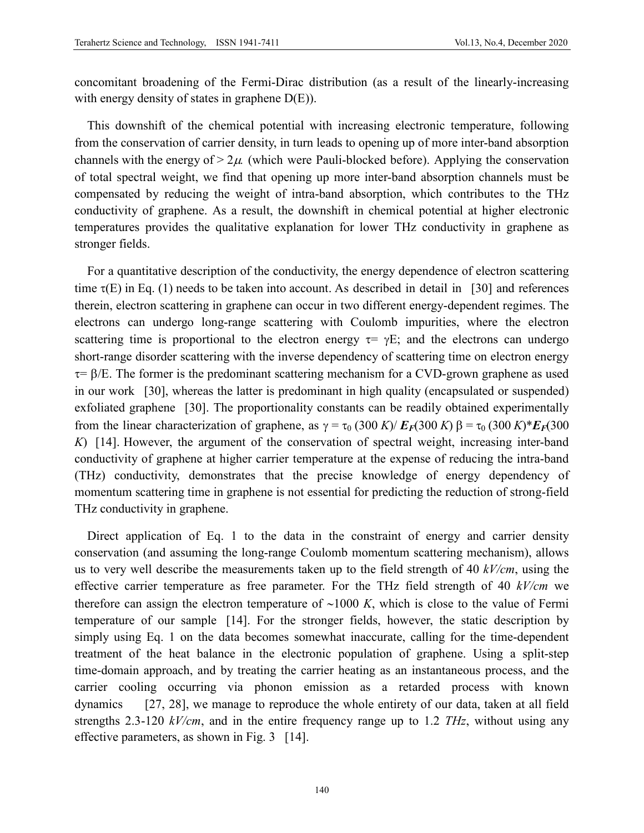concomitant broadening of the Fermi-Dirac distribution (as a result of the linearly-increasing with energy density of states in graphene  $D(E)$ ).

This downshift of the chemical potential with increasing electronic temperature, following from the conservation of carrier density, in turn leads to opening up of more inter-band absorption channels with the energy of  $> 2\mu$  (which were Pauli-blocked before). Applying the conservation of total spectral weight, we find that opening up more inter-band absorption channels must be compensated by reducing the weight of intra-band absorption, which contributes to the THz conductivity of graphene. As a result, the downshift in chemical potential at higher electronic temperatures provides the qualitative explanation for lower THz conductivity in graphene as stronger fields.

For a quantitative description of the conductivity, the energy dependence of electron scattering time  $\tau(E)$  in Eq. (1) needs to be taken into account. As described in detail in [30] and references therein, electron scattering in graphene can occur in two different energy-dependent regimes. The electrons can undergo long-range scattering with Coulomb impurities, where the electron scattering time is proportional to the electron energy  $\tau = \gamma E$ ; and the electrons can undergo short-range disorder scattering with the inverse dependency of scattering time on electron energy  $\tau = \beta/E$ . The former is the predominant scattering mechanism for a CVD-grown graphene as used in our work [30], whereas the latter is predominant in high quality (encapsulated or suspended) exfoliated graphene [30]. The proportionality constants can be readily obtained experimentally from the linear characterization of graphene, as  $\gamma = \tau_0 (300 K)/E_F(300 K)$  β =  $\tau_0 (300 K)^*E_F(300 K)$ *K*) [14]. However, the argument of the conservation of spectral weight, increasing inter-band conductivity of graphene at higher carrier temperature at the expense of reducing the intra-band (THz) conductivity, demonstrates that the precise knowledge of energy dependency of momentum scattering time in graphene is not essential for predicting the reduction of strong-field THz conductivity in graphene.

Direct application of Eq. 1 to the data in the constraint of energy and carrier density conservation (and assuming the long-range Coulomb momentum scattering mechanism), allows us to very well describe the measurements taken up to the field strength of 40 *kV/cm*, using the effective carrier temperature as free parameter. For the THz field strength of 40 *kV/cm* we therefore can assign the electron temperature of ∼1000 *K*, which is close to the value of Fermi temperature of our sample [14]. For the stronger fields, however, the static description by simply using Eq. 1 on the data becomes somewhat inaccurate, calling for the time-dependent treatment of the heat balance in the electronic population of graphene. Using a split-step time-domain approach, and by treating the carrier heating as an instantaneous process, and the carrier cooling occurring via phonon emission as a retarded process with known dynamics [27, 28], we manage to reproduce the whole entirety of our data, taken at all field strengths 2.3-120 *kV/cm*, and in the entire frequency range up to 1.2 *THz*, without using any effective parameters, as shown in Fig. 3 [14].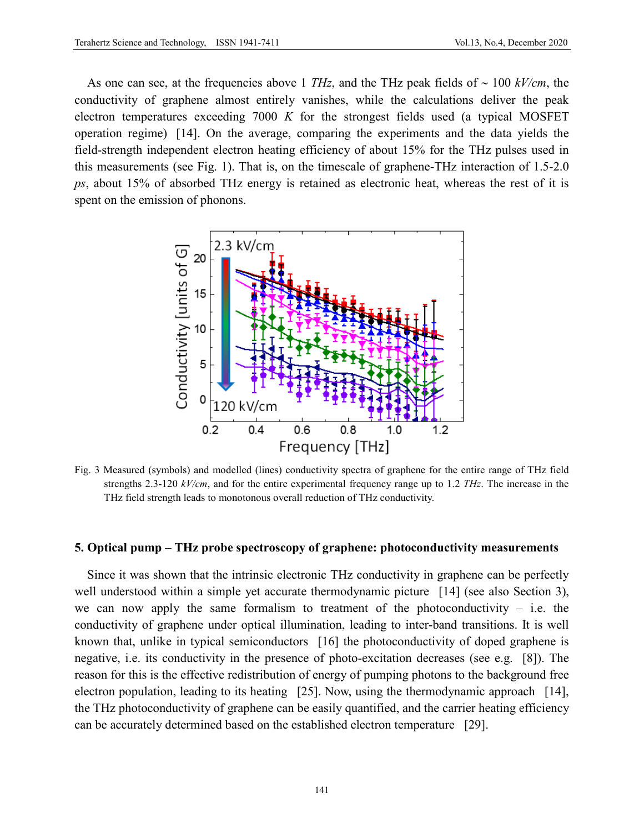As one can see, at the frequencies above 1 *THz*, and the THz peak fields of ∼ 100 *kV/cm*, the conductivity of graphene almost entirely vanishes, while the calculations deliver the peak electron temperatures exceeding 7000 *K* for the strongest fields used (a typical MOSFET operation regime) [14]. On the average, comparing the experiments and the data yields the field-strength independent electron heating efficiency of about 15% for the THz pulses used in this measurements (see Fig. 1). That is, on the timescale of graphene-THz interaction of 1.5-2.0 *ps*, about 15% of absorbed THz energy is retained as electronic heat, whereas the rest of it is spent on the emission of phonons.



Fig. 3 Measured (symbols) and modelled (lines) conductivity spectra of graphene for the entire range of THz field strengths 2.3-120 *kV/cm*, and for the entire experimental frequency range up to 1.2 *THz*. The increase in the THz field strength leads to monotonous overall reduction of THz conductivity.

#### **5. Optical pump – THz probe spectroscopy of graphene: photoconductivity measurements**

Since it was shown that the intrinsic electronic THz conductivity in graphene can be perfectly well understood within a simple yet accurate thermodynamic picture [14] (see also Section 3), we can now apply the same formalism to treatment of the photoconductivity  $-$  i.e. the conductivity of graphene under optical illumination, leading to inter-band transitions. It is well known that, unlike in typical semiconductors [16] the photoconductivity of doped graphene is negative, i.e. its conductivity in the presence of photo-excitation decreases (see e.g. [8]). The reason for this is the effective redistribution of energy of pumping photons to the background free electron population, leading to its heating [25]. Now, using the thermodynamic approach [14], the THz photoconductivity of graphene can be easily quantified, and the carrier heating efficiency can be accurately determined based on the established electron temperature [29].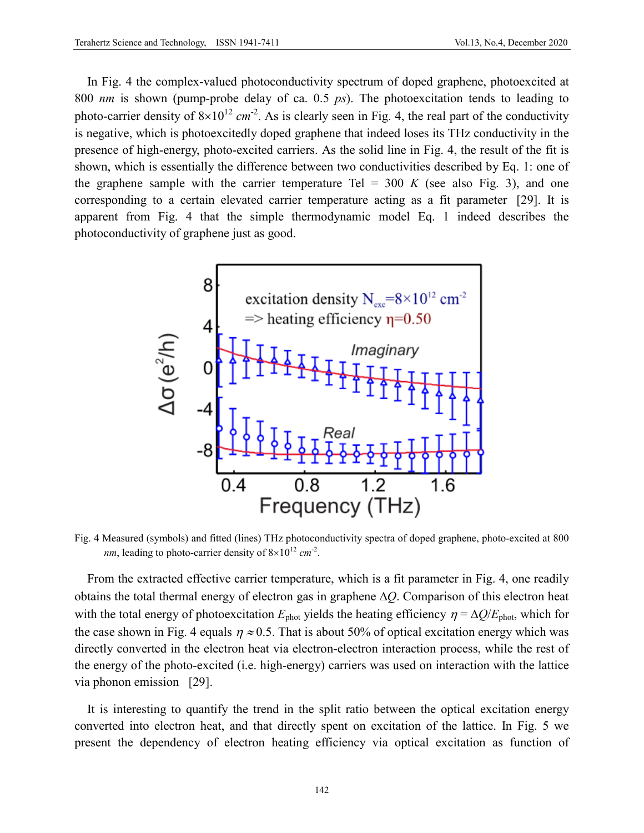In Fig. 4 the complex-valued photoconductivity spectrum of doped graphene, photoexcited at 800 *nm* is shown (pump-probe delay of ca. 0.5 *ps*). The photoexcitation tends to leading to photo-carrier density of  $8 \times 10^{12}$  cm<sup>-2</sup>. As is clearly seen in Fig. 4, the real part of the conductivity is negative, which is photoexcitedly doped graphene that indeed loses its THz conductivity in the presence of high-energy, photo-excited carriers. As the solid line in Fig. 4, the result of the fit is shown, which is essentially the difference between two conductivities described by Eq. 1: one of the graphene sample with the carrier temperature Tel  $=$  300  $K$  (see also Fig. 3), and one corresponding to a certain elevated carrier temperature acting as a fit parameter [29]. It is apparent from Fig. 4 that the simple thermodynamic model Eq. 1 indeed describes the photoconductivity of graphene just as good.



Fig. 4 Measured (symbols) and fitted (lines) THz photoconductivity spectra of doped graphene, photo-excited at 800 *nm*, leading to photo-carrier density of  $8 \times 10^{12}$  *cm*<sup>-2</sup>.

From the extracted effective carrier temperature, which is a fit parameter in Fig. 4, one readily obtains the total thermal energy of electron gas in graphene ∆*Q*. Comparison of this electron heat with the total energy of photoexcitation  $E_{phot}$  yields the heating efficiency  $\eta = \Delta Q/E_{phot}$ , which for the case shown in Fig. 4 equals  $\eta \approx 0.5$ . That is about 50% of optical excitation energy which was directly converted in the electron heat via electron-electron interaction process, while the rest of the energy of the photo-excited (i.e. high-energy) carriers was used on interaction with the lattice via phonon emission [29].

It is interesting to quantify the trend in the split ratio between the optical excitation energy converted into electron heat, and that directly spent on excitation of the lattice. In Fig. 5 we present the dependency of electron heating efficiency via optical excitation as function of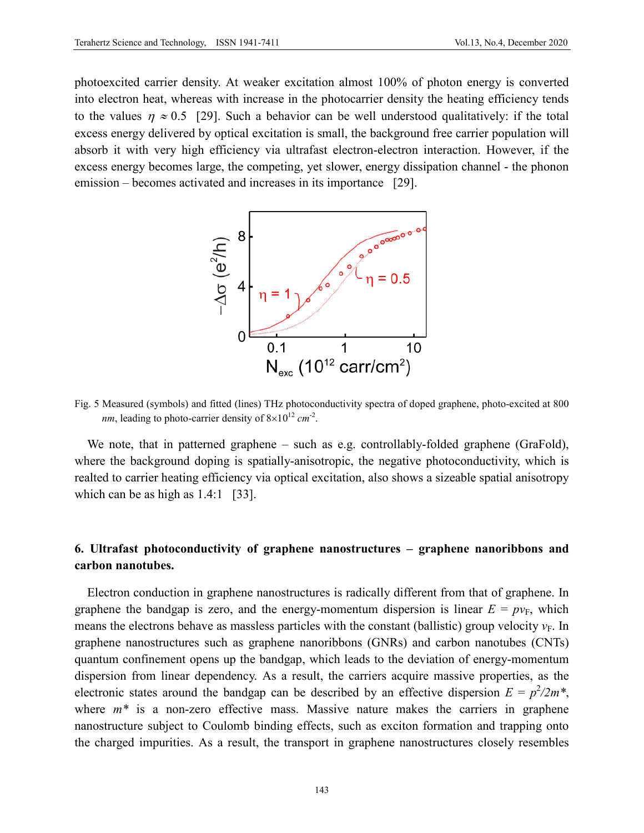photoexcited carrier density. At weaker excitation almost 100% of photon energy is converted into electron heat, whereas with increase in the photocarrier density the heating efficiency tends to the values  $\eta \approx 0.5$  [29]. Such a behavior can be well understood qualitatively: if the total excess energy delivered by optical excitation is small, the background free carrier population will absorb it with very high efficiency via ultrafast electron-electron interaction. However, if the excess energy becomes large, the competing, yet slower, energy dissipation channel - the phonon emission – becomes activated and increases in its importance [29].



Fig. 5 Measured (symbols) and fitted (lines) THz photoconductivity spectra of doped graphene, photo-excited at 800 *nm*, leading to photo-carrier density of  $8 \times 10^{12}$  *cm*<sup>-2</sup>.

We note, that in patterned graphene – such as e.g. controllably-folded graphene (GraFold), where the background doping is spatially-anisotropic, the negative photoconductivity, which is realted to carrier heating efficiency via optical excitation, also shows a sizeable spatial anisotropy which can be as high as 1.4:1 [33].

# **6. Ultrafast photoconductivity of graphene nanostructures – graphene nanoribbons and carbon nanotubes.**

Electron conduction in graphene nanostructures is radically different from that of graphene. In graphene the bandgap is zero, and the energy-momentum dispersion is linear  $E = pv_F$ , which means the electrons behave as massless particles with the constant (ballistic) group velocity  $v_F$ . In graphene nanostructures such as graphene nanoribbons (GNRs) and carbon nanotubes (CNTs) quantum confinement opens up the bandgap, which leads to the deviation of energy-momentum dispersion from linear dependency. As a result, the carriers acquire massive properties, as the electronic states around the bandgap can be described by an effective dispersion  $E = p^2/2m^*$ , where  $m^*$  is a non-zero effective mass. Massive nature makes the carriers in graphene nanostructure subject to Coulomb binding effects, such as exciton formation and trapping onto the charged impurities. As a result, the transport in graphene nanostructures closely resembles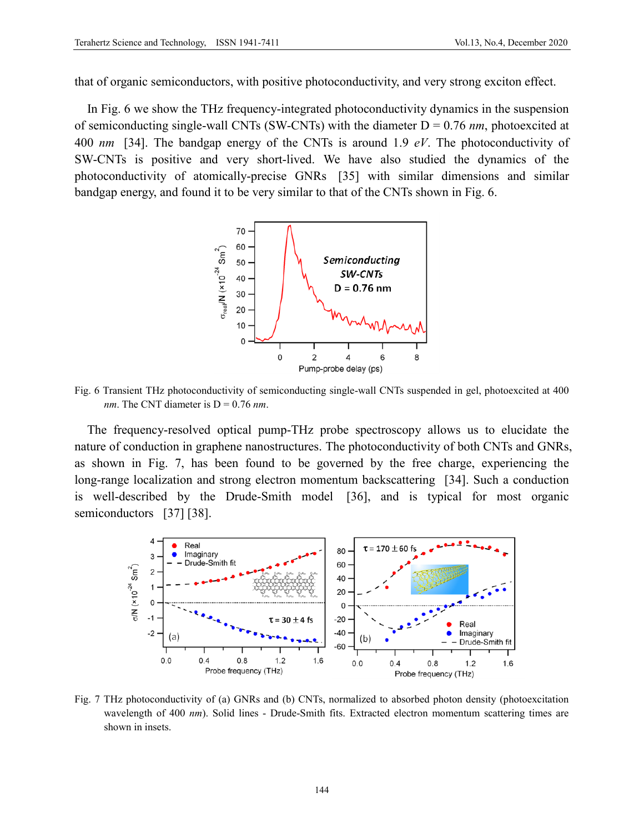that of organic semiconductors, with positive photoconductivity, and very strong exciton effect.

In Fig. 6 we show the THz frequency-integrated photoconductivity dynamics in the suspension of semiconducting single-wall CNTs (SW-CNTs) with the diameter D = 0.76 *nm*, photoexcited at 400 *nm* [34]. The bandgap energy of the CNTs is around 1.9 *eV*. The photoconductivity of SW-CNTs is positive and very short-lived. We have also studied the dynamics of the photoconductivity of atomically-precise GNRs [35] with similar dimensions and similar bandgap energy, and found it to be very similar to that of the CNTs shown in Fig. 6.



Fig. 6 Transient THz photoconductivity of semiconducting single-wall CNTs suspended in gel, photoexcited at 400 *nm*. The CNT diameter is  $D = 0.76$  *nm*.

The frequency-resolved optical pump-THz probe spectroscopy allows us to elucidate the nature of conduction in graphene nanostructures. The photoconductivity of both CNTs and GNRs, as shown in Fig. 7, has been found to be governed by the free charge, experiencing the long-range localization and strong electron momentum backscattering [34]. Such a conduction is well-described by the Drude-Smith model [36], and is typical for most organic semiconductors [37] [38].



Fig. 7 THz photoconductivity of (a) GNRs and (b) CNTs, normalized to absorbed photon density (photoexcitation wavelength of 400 *nm*). Solid lines - Drude-Smith fits. Extracted electron momentum scattering times are shown in insets.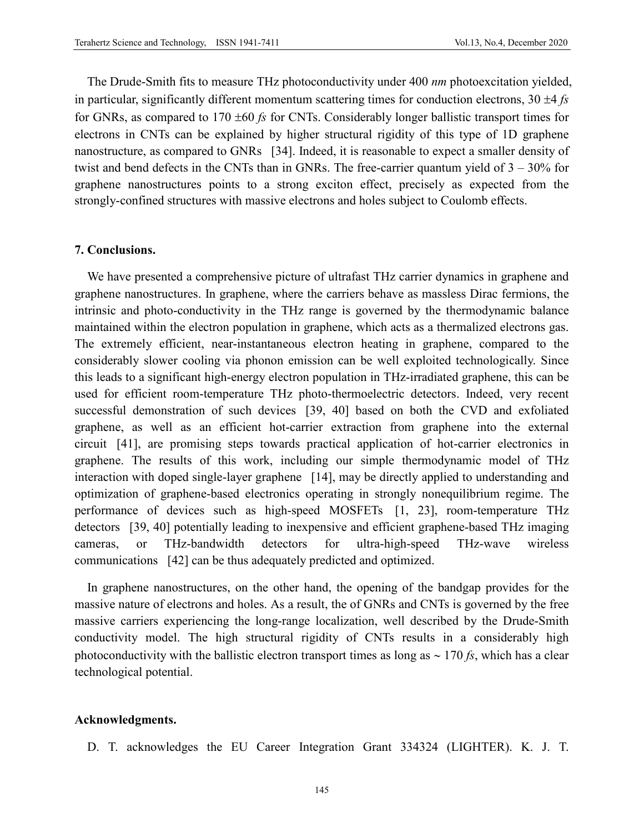The Drude-Smith fits to measure THz photoconductivity under 400 *nm* photoexcitation yielded, in particular, significantly different momentum scattering times for conduction electrons, 30 ±4 *fs* for GNRs, as compared to 170 ±60 *fs* for CNTs. Considerably longer ballistic transport times for electrons in CNTs can be explained by higher structural rigidity of this type of 1D graphene nanostructure, as compared to GNRs [34]. Indeed, it is reasonable to expect a smaller density of twist and bend defects in the CNTs than in GNRs. The free-carrier quantum yield of  $3 - 30\%$  for graphene nanostructures points to a strong exciton effect, precisely as expected from the strongly-confined structures with massive electrons and holes subject to Coulomb effects.

# **7. Conclusions.**

We have presented a comprehensive picture of ultrafast THz carrier dynamics in graphene and graphene nanostructures. In graphene, where the carriers behave as massless Dirac fermions, the intrinsic and photo-conductivity in the THz range is governed by the thermodynamic balance maintained within the electron population in graphene, which acts as a thermalized electrons gas. The extremely efficient, near-instantaneous electron heating in graphene, compared to the considerably slower cooling via phonon emission can be well exploited technologically. Since this leads to a significant high-energy electron population in THz-irradiated graphene, this can be used for efficient room-temperature THz photo-thermoelectric detectors. Indeed, very recent successful demonstration of such devices [39, 40] based on both the CVD and exfoliated graphene, as well as an efficient hot-carrier extraction from graphene into the external circuit [41], are promising steps towards practical application of hot-carrier electronics in graphene. The results of this work, including our simple thermodynamic model of THz interaction with doped single-layer graphene [14], may be directly applied to understanding and optimization of graphene-based electronics operating in strongly nonequilibrium regime. The performance of devices such as high-speed MOSFETs [1, 23], room-temperature THz detectors [39, 40] potentially leading to inexpensive and efficient graphene-based THz imaging cameras, or THz-bandwidth detectors for ultra-high-speed THz-wave wireless communications [42] can be thus adequately predicted and optimized.

In graphene nanostructures, on the other hand, the opening of the bandgap provides for the massive nature of electrons and holes. As a result, the of GNRs and CNTs is governed by the free massive carriers experiencing the long-range localization, well described by the Drude-Smith conductivity model. The high structural rigidity of CNTs results in a considerably high photoconductivity with the ballistic electron transport times as long as ∼ 170 *fs*, which has a clear technological potential.

# **Acknowledgments.**

D. T. acknowledges the EU Career Integration Grant 334324 (LIGHTER). K. J. T.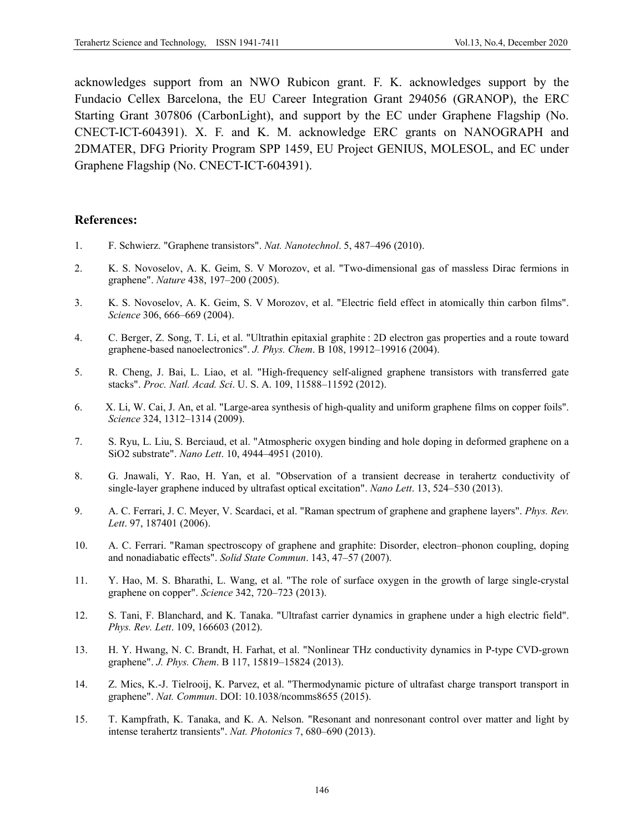acknowledges support from an NWO Rubicon grant. F. K. acknowledges support by the Fundacio Cellex Barcelona, the EU Career Integration Grant 294056 (GRANOP), the ERC Starting Grant 307806 (CarbonLight), and support by the EC under Graphene Flagship (No. CNECT-ICT-604391). X. F. and K. M. acknowledge ERC grants on NANOGRAPH and 2DMATER, DFG Priority Program SPP 1459, EU Project GENIUS, MOLESOL, and EC under Graphene Flagship (No. CNECT-ICT-604391).

# **References:**

- 1. F. Schwierz. "Graphene transistors". *Nat. Nanotechnol*. 5, 487–496 (2010).
- 2. K. S. Novoselov, A. K. Geim, S. V Morozov, et al. "Two-dimensional gas of massless Dirac fermions in graphene". *Nature* 438, 197–200 (2005).
- 3. K. S. Novoselov, A. K. Geim, S. V Morozov, et al. "Electric field effect in atomically thin carbon films". *Science* 306, 666–669 (2004).
- 4. C. Berger, Z. Song, T. Li, et al. "Ultrathin epitaxial graphite : 2D electron gas properties and a route toward graphene-based nanoelectronics". *J. Phys. Chem*. B 108, 19912–19916 (2004).
- 5. R. Cheng, J. Bai, L. Liao, et al. "High-frequency self-aligned graphene transistors with transferred gate stacks". *Proc. Natl. Acad. Sci*. U. S. A. 109, 11588–11592 (2012).
- 6. X. Li, W. Cai, J. An, et al. "Large-area synthesis of high-quality and uniform graphene films on copper foils". *Science* 324, 1312–1314 (2009).
- 7. S. Ryu, L. Liu, S. Berciaud, et al. "Atmospheric oxygen binding and hole doping in deformed graphene on a SiO2 substrate". *Nano Lett*. 10, 4944–4951 (2010).
- 8. G. Jnawali, Y. Rao, H. Yan, et al. "Observation of a transient decrease in terahertz conductivity of single-layer graphene induced by ultrafast optical excitation". *Nano Lett*. 13, 524–530 (2013).
- 9. A. C. Ferrari, J. C. Meyer, V. Scardaci, et al. "Raman spectrum of graphene and graphene layers". *Phys. Rev. Lett*. 97, 187401 (2006).
- 10. A. C. Ferrari. "Raman spectroscopy of graphene and graphite: Disorder, electron–phonon coupling, doping and nonadiabatic effects". *Solid State Commun*. 143, 47–57 (2007).
- 11. Y. Hao, M. S. Bharathi, L. Wang, et al. "The role of surface oxygen in the growth of large single-crystal graphene on copper". *Science* 342, 720–723 (2013).
- 12. S. Tani, F. Blanchard, and K. Tanaka. "Ultrafast carrier dynamics in graphene under a high electric field". *Phys. Rev. Lett*. 109, 166603 (2012).
- 13. H. Y. Hwang, N. C. Brandt, H. Farhat, et al. "Nonlinear THz conductivity dynamics in P-type CVD-grown graphene". *J. Phys. Chem*. B 117, 15819–15824 (2013).
- 14. Z. Mics, K.-J. Tielrooij, K. Parvez, et al. "Thermodynamic picture of ultrafast charge transport transport in graphene". *Nat. Commun*. DOI: 10.1038/ncomms8655 (2015).
- 15. T. Kampfrath, K. Tanaka, and K. A. Nelson. "Resonant and nonresonant control over matter and light by intense terahertz transients". *Nat. Photonics* 7, 680–690 (2013).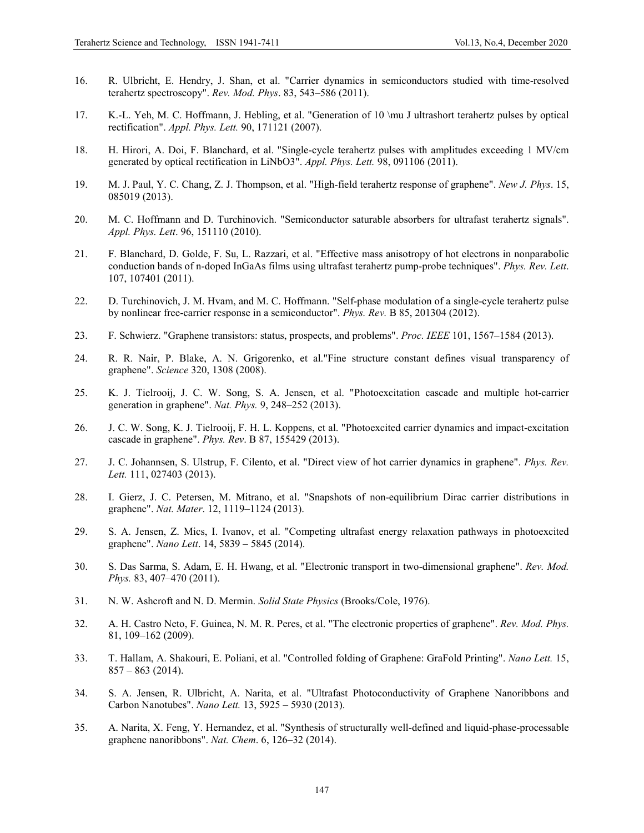- 16. R. Ulbricht, E. Hendry, J. Shan, et al. "Carrier dynamics in semiconductors studied with time-resolved terahertz spectroscopy". *Rev. Mod. Phys*. 83, 543–586 (2011).
- 17. K.-L. Yeh, M. C. Hoffmann, J. Hebling, et al. "Generation of 10 \mu J ultrashort terahertz pulses by optical rectification". *Appl. Phys. Lett.* 90, 171121 (2007).
- 18. H. Hirori, A. Doi, F. Blanchard, et al. "Single-cycle terahertz pulses with amplitudes exceeding 1 MV/cm generated by optical rectification in LiNbO3". *Appl. Phys. Lett.* 98, 091106 (2011).
- 19. M. J. Paul, Y. C. Chang, Z. J. Thompson, et al. "High-field terahertz response of graphene". *New J. Phys*. 15, 085019 (2013).
- 20. M. C. Hoffmann and D. Turchinovich. "Semiconductor saturable absorbers for ultrafast terahertz signals". *Appl. Phys. Lett*. 96, 151110 (2010).
- 21. F. Blanchard, D. Golde, F. Su, L. Razzari, et al. "Effective mass anisotropy of hot electrons in nonparabolic conduction bands of n-doped InGaAs films using ultrafast terahertz pump-probe techniques". *Phys. Rev. Lett*. 107, 107401 (2011).
- 22. D. Turchinovich, J. M. Hvam, and M. C. Hoffmann. "Self-phase modulation of a single-cycle terahertz pulse by nonlinear free-carrier response in a semiconductor". *Phys. Rev.* B 85, 201304 (2012).
- 23. F. Schwierz. "Graphene transistors: status, prospects, and problems". *Proc. IEEE* 101, 1567–1584 (2013).
- 24. R. R. Nair, P. Blake, A. N. Grigorenko, et al."Fine structure constant defines visual transparency of graphene". *Science* 320, 1308 (2008).
- 25. K. J. Tielrooij, J. C. W. Song, S. A. Jensen, et al. "Photoexcitation cascade and multiple hot-carrier generation in graphene". *Nat. Phys.* 9, 248–252 (2013).
- 26. J. C. W. Song, K. J. Tielrooij, F. H. L. Koppens, et al. "Photoexcited carrier dynamics and impact-excitation cascade in graphene". *Phys. Rev*. B 87, 155429 (2013).
- 27. J. C. Johannsen, S. Ulstrup, F. Cilento, et al. "Direct view of hot carrier dynamics in graphene". *Phys. Rev. Lett.* 111, 027403 (2013).
- 28. I. Gierz, J. C. Petersen, M. Mitrano, et al. "Snapshots of non-equilibrium Dirac carrier distributions in graphene". *Nat. Mater*. 12, 1119–1124 (2013).
- 29. S. A. Jensen, Z. Mics, I. Ivanov, et al. "Competing ultrafast energy relaxation pathways in photoexcited graphene". *Nano Lett*. 14, 5839 – 5845 (2014).
- 30. S. Das Sarma, S. Adam, E. H. Hwang, et al. "Electronic transport in two-dimensional graphene". *Rev. Mod. Phys.* 83, 407–470 (2011).
- 31. N. W. Ashcroft and N. D. Mermin. *Solid State Physics* (Brooks/Cole, 1976).
- 32. A. H. Castro Neto, F. Guinea, N. M. R. Peres, et al. "The electronic properties of graphene". *Rev. Mod. Phys.* 81, 109–162 (2009).
- 33. T. Hallam, A. Shakouri, E. Poliani, et al. "Controlled folding of Graphene: GraFold Printing". *Nano Lett.* 15,  $857 - 863$  (2014).
- 34. S. A. Jensen, R. Ulbricht, A. Narita, et al. "Ultrafast Photoconductivity of Graphene Nanoribbons and Carbon Nanotubes". *Nano Lett.* 13, 5925 – 5930 (2013).
- 35. A. Narita, X. Feng, Y. Hernandez, et al. "Synthesis of structurally well-defined and liquid-phase-processable graphene nanoribbons". *Nat. Chem*. 6, 126–32 (2014).